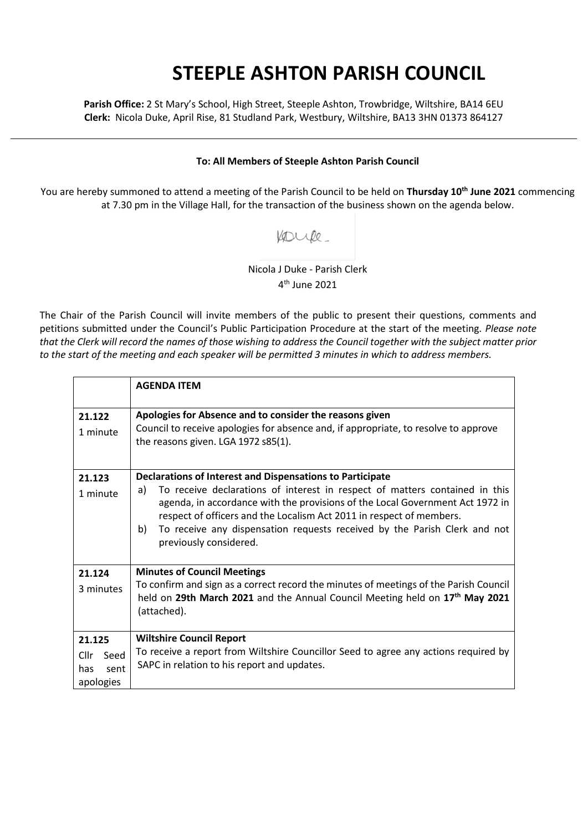## **STEEPLE ASHTON PARISH COUNCIL**

**Parish Office:** 2 St Mary's School, High Street, Steeple Ashton, Trowbridge, Wiltshire, BA14 6EU **Clerk:** Nicola Duke, April Rise, 81 Studland Park, Westbury, Wiltshire, BA13 3HN 01373 864127

## **To: All Members of Steeple Ashton Parish Council**

You are hereby summoned to attend a meeting of the Parish Council to be held on **Thursday 10th June 2021** commencing at 7.30 pm in the Village Hall, for the transaction of the business shown on the agenda below.

Koupe.

Nicola J Duke - Parish Clerk 4 th June 2021

The Chair of the Parish Council will invite members of the public to present their questions, comments and petitions submitted under the Council's Public Participation Procedure at the start of the meeting. *Please note that the Clerk will record the names of those wishing to address the Council together with the subject matter prior to the start of the meeting and each speaker will be permitted 3 minutes in which to address members.*

|                                                    | <b>AGENDA ITEM</b>                                                                                                                                                                                                                                                                                                                                                                                                          |
|----------------------------------------------------|-----------------------------------------------------------------------------------------------------------------------------------------------------------------------------------------------------------------------------------------------------------------------------------------------------------------------------------------------------------------------------------------------------------------------------|
| 21.122<br>1 minute                                 | Apologies for Absence and to consider the reasons given<br>Council to receive apologies for absence and, if appropriate, to resolve to approve<br>the reasons given. LGA 1972 s85(1).                                                                                                                                                                                                                                       |
| 21.123<br>1 minute                                 | <b>Declarations of Interest and Dispensations to Participate</b><br>To receive declarations of interest in respect of matters contained in this<br>a)<br>agenda, in accordance with the provisions of the Local Government Act 1972 in<br>respect of officers and the Localism Act 2011 in respect of members.<br>To receive any dispensation requests received by the Parish Clerk and not<br>b)<br>previously considered. |
| 21.124<br>3 minutes                                | <b>Minutes of Council Meetings</b><br>To confirm and sign as a correct record the minutes of meetings of the Parish Council<br>held on 29th March 2021 and the Annual Council Meeting held on 17 <sup>th</sup> May 2021<br>(attached).                                                                                                                                                                                      |
| 21.125<br>Cllr<br>Seed<br>sent<br>has<br>apologies | <b>Wiltshire Council Report</b><br>To receive a report from Wiltshire Councillor Seed to agree any actions required by<br>SAPC in relation to his report and updates.                                                                                                                                                                                                                                                       |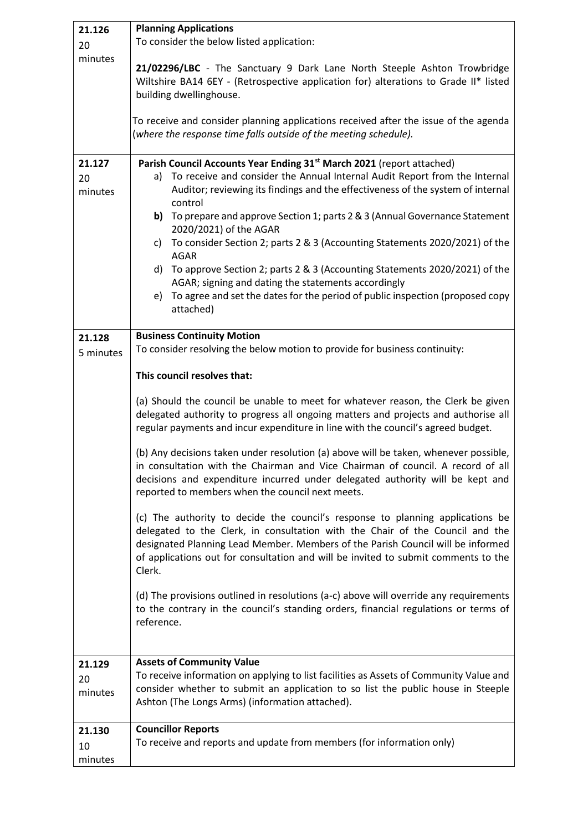| 21.126                  | <b>Planning Applications</b>                                                                                                                                                                                                                                                                                                                       |
|-------------------------|----------------------------------------------------------------------------------------------------------------------------------------------------------------------------------------------------------------------------------------------------------------------------------------------------------------------------------------------------|
| 20                      | To consider the below listed application:                                                                                                                                                                                                                                                                                                          |
| minutes                 | 21/02296/LBC - The Sanctuary 9 Dark Lane North Steeple Ashton Trowbridge<br>Wiltshire BA14 6EY - (Retrospective application for) alterations to Grade II* listed<br>building dwellinghouse.                                                                                                                                                        |
|                         | To receive and consider planning applications received after the issue of the agenda<br>(where the response time falls outside of the meeting schedule).                                                                                                                                                                                           |
| 21.127<br>20<br>minutes | Parish Council Accounts Year Ending 31 <sup>st</sup> March 2021 (report attached)<br>a) To receive and consider the Annual Internal Audit Report from the Internal<br>Auditor; reviewing its findings and the effectiveness of the system of internal<br>control                                                                                   |
|                         | b) To prepare and approve Section 1; parts 2 & 3 (Annual Governance Statement<br>2020/2021) of the AGAR                                                                                                                                                                                                                                            |
|                         | To consider Section 2; parts 2 & 3 (Accounting Statements 2020/2021) of the<br>C)<br><b>AGAR</b>                                                                                                                                                                                                                                                   |
|                         | To approve Section 2; parts 2 & 3 (Accounting Statements 2020/2021) of the<br>d)<br>AGAR; signing and dating the statements accordingly                                                                                                                                                                                                            |
|                         | To agree and set the dates for the period of public inspection (proposed copy<br>e)<br>attached)                                                                                                                                                                                                                                                   |
| 21.128<br>5 minutes     | <b>Business Continuity Motion</b><br>To consider resolving the below motion to provide for business continuity:                                                                                                                                                                                                                                    |
|                         | This council resolves that:                                                                                                                                                                                                                                                                                                                        |
|                         | (a) Should the council be unable to meet for whatever reason, the Clerk be given<br>delegated authority to progress all ongoing matters and projects and authorise all<br>regular payments and incur expenditure in line with the council's agreed budget.                                                                                         |
|                         | (b) Any decisions taken under resolution (a) above will be taken, whenever possible,<br>in consultation with the Chairman and Vice Chairman of council. A record of all<br>decisions and expenditure incurred under delegated authority will be kept and<br>reported to members when the council next meets.                                       |
|                         | (c) The authority to decide the council's response to planning applications be<br>delegated to the Clerk, in consultation with the Chair of the Council and the<br>designated Planning Lead Member. Members of the Parish Council will be informed<br>of applications out for consultation and will be invited to submit comments to the<br>Clerk. |
|                         | (d) The provisions outlined in resolutions (a-c) above will override any requirements<br>to the contrary in the council's standing orders, financial regulations or terms of<br>reference.                                                                                                                                                         |
| 21.129                  | <b>Assets of Community Value</b>                                                                                                                                                                                                                                                                                                                   |
| 20<br>minutes           | To receive information on applying to list facilities as Assets of Community Value and<br>consider whether to submit an application to so list the public house in Steeple<br>Ashton (The Longs Arms) (information attached).                                                                                                                      |
| 21.130                  | <b>Councillor Reports</b>                                                                                                                                                                                                                                                                                                                          |
| 10                      | To receive and reports and update from members (for information only)                                                                                                                                                                                                                                                                              |
| minutes                 |                                                                                                                                                                                                                                                                                                                                                    |
|                         |                                                                                                                                                                                                                                                                                                                                                    |